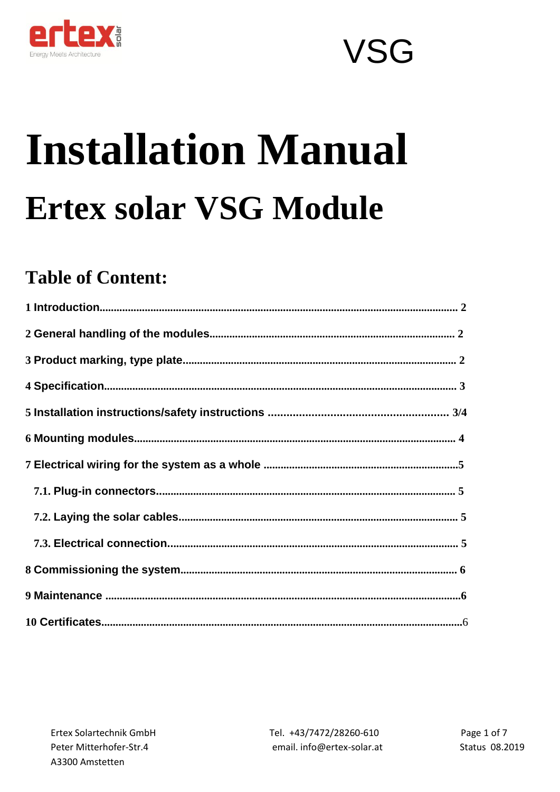

# **Installation Manual Ertex solar VSG Module**

### **Table of Content:**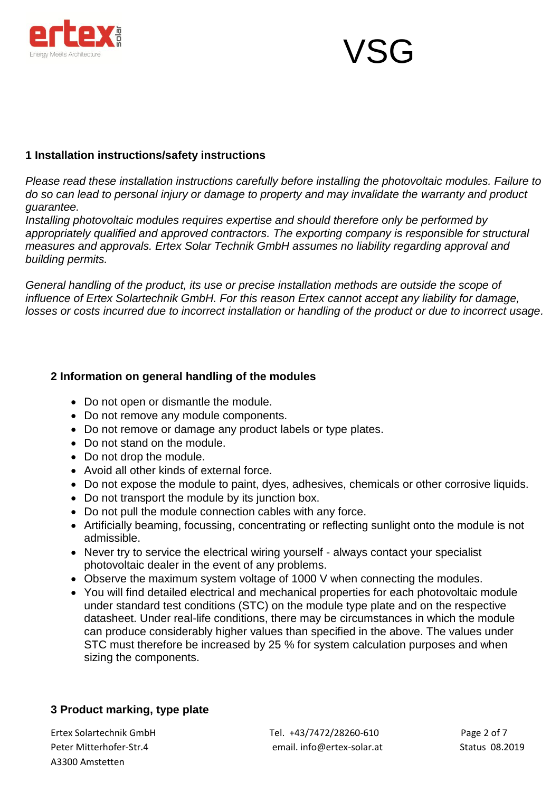



### **1 Installation instructions/safety instructions**

*Please read these installation instructions carefully before installing the photovoltaic modules. Failure to do so can lead to personal injury or damage to property and may invalidate the warranty and product guarantee.*

*Installing photovoltaic modules requires expertise and should therefore only be performed by appropriately qualified and approved contractors. The exporting company is responsible for structural measures and approvals. Ertex Solar Technik GmbH assumes no liability regarding approval and building permits.*

*General handling of the product, its use or precise installation methods are outside the scope of influence of Ertex Solartechnik GmbH. For this reason Ertex cannot accept any liability for damage, losses or costs incurred due to incorrect installation or handling of the product or due to incorrect usage.*

### **2 Information on general handling of the modules**

- Do not open or dismantle the module.
- Do not remove any module components.
- Do not remove or damage any product labels or type plates.
- Do not stand on the module.
- Do not drop the module.
- Avoid all other kinds of external force.
- Do not expose the module to paint, dyes, adhesives, chemicals or other corrosive liquids.
- Do not transport the module by its junction box.
- Do not pull the module connection cables with any force.
- Artificially beaming, focussing, concentrating or reflecting sunlight onto the module is not admissible.
- Never try to service the electrical wiring yourself always contact your specialist photovoltaic dealer in the event of any problems.
- Observe the maximum system voltage of 1000 V when connecting the modules.
- You will find detailed electrical and mechanical properties for each photovoltaic module under standard test conditions (STC) on the module type plate and on the respective datasheet. Under real-life conditions, there may be circumstances in which the module can produce considerably higher values than specified in the above. The values under STC must therefore be increased by 25 % for system calculation purposes and when sizing the components.

### **3 Product marking, type plate**

A3300 Amstetten

Ertex Solartechnik GmbH Tel. +43/7472/28260-610 Page 2 of 7 Peter Mitterhofer-Str.4 email. info@ertex-solar.at Status 08.2019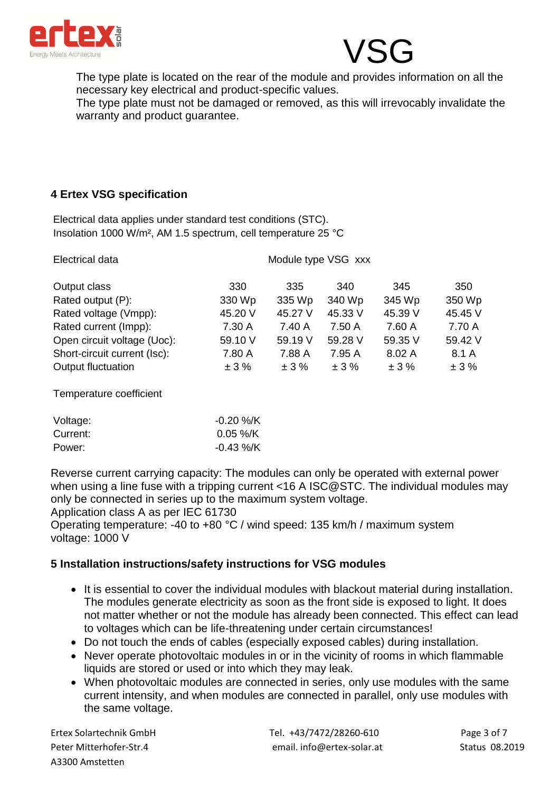



The type plate is located on the rear of the module and provides information on all the necessary key electrical and product-specific values.

The type plate must not be damaged or removed, as this will irrevocably invalidate the warranty and product guarantee.

### **4 Ertex VSG specification**

Electrical data applies under standard test conditions (STC). Insolation 1000 W/m², AM 1.5 spectrum, cell temperature 25 °C

| Electrical data              | Module type VSG xxx |         |         |         |         |  |
|------------------------------|---------------------|---------|---------|---------|---------|--|
| Output class                 | 330                 | 335     | 340     | 345     | 350     |  |
| Rated output (P):            | 330 Wp              | 335 Wp  | 340 Wp  | 345 Wp  | 350 Wp  |  |
| Rated voltage (Vmpp):        | 45.20 V             | 45.27 V | 45.33 V | 45.39 V | 45.45 V |  |
| Rated current (Impp):        | 7.30 A              | 7.40 A  | 7.50 A  | 7.60 A  | 7.70 A  |  |
| Open circuit voltage (Uoc):  | 59.10 V             | 59.19 V | 59.28 V | 59.35 V | 59.42 V |  |
| Short-circuit current (Isc): | 7.80 A              | 7.88 A  | 7.95 A  | 8.02 A  | 8.1 A   |  |
| Output fluctuation           | ±3%                 | ±3%     | ±3%     | ± 3%    | ±3%     |  |
| Temperature coefficient      |                     |         |         |         |         |  |

| Voltage: | $-0.20$ %/K  |
|----------|--------------|
| Current: | $0.05 \%$ /K |
| Power:   | $-0.43\%$ /K |

Reverse current carrying capacity: The modules can only be operated with external power when using a line fuse with a tripping current <16 A ISC@STC. The individual modules may only be connected in series up to the maximum system voltage.

Application class A as per IEC 61730

Operating temperature: -40 to +80 °C / wind speed: 135 km/h / maximum system voltage: 1000 V

### **5 Installation instructions/safety instructions for VSG modules**

- It is essential to cover the individual modules with blackout material during installation. The modules generate electricity as soon as the front side is exposed to light. It does not matter whether or not the module has already been connected. This effect can lead to voltages which can be life-threatening under certain circumstances!
- Do not touch the ends of cables (especially exposed cables) during installation.
- Never operate photovoltaic modules in or in the vicinity of rooms in which flammable liquids are stored or used or into which they may leak.
- When photovoltaic modules are connected in series, only use modules with the same current intensity, and when modules are connected in parallel, only use modules with the same voltage.

A3300 Amstetten

Ertex Solartechnik GmbH Tel. +43/7472/28260-610 Page 3 of 7 Peter Mitterhofer-Str.4 email. info@ertex-solar.at Status 08.2019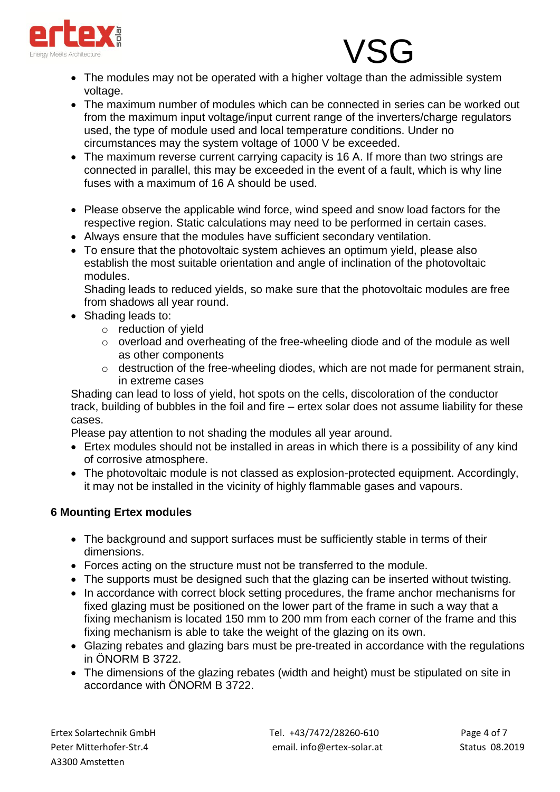

### • The modules may not be operated with a higher voltage than the admissible system voltage.

- The maximum number of modules which can be connected in series can be worked out from the maximum input voltage/input current range of the inverters/charge regulators used, the type of module used and local temperature conditions. Under no circumstances may the system voltage of 1000 V be exceeded.
- The maximum reverse current carrying capacity is 16 A. If more than two strings are connected in parallel, this may be exceeded in the event of a fault, which is why line fuses with a maximum of 16 A should be used.
- Please observe the applicable wind force, wind speed and snow load factors for the respective region. Static calculations may need to be performed in certain cases.
- Always ensure that the modules have sufficient secondary ventilation.
- To ensure that the photovoltaic system achieves an optimum yield, please also establish the most suitable orientation and angle of inclination of the photovoltaic modules.

Shading leads to reduced yields, so make sure that the photovoltaic modules are free from shadows all year round.

- Shading leads to:
	- o reduction of yield
	- o overload and overheating of the free-wheeling diode and of the module as well as other components
	- o destruction of the free-wheeling diodes, which are not made for permanent strain, in extreme cases

Shading can lead to loss of yield, hot spots on the cells, discoloration of the conductor track, building of bubbles in the foil and fire – ertex solar does not assume liability for these cases.

Please pay attention to not shading the modules all year around.

- Ertex modules should not be installed in areas in which there is a possibility of any kind of corrosive atmosphere.
- The photovoltaic module is not classed as explosion-protected equipment. Accordingly, it may not be installed in the vicinity of highly flammable gases and vapours.

### **6 Mounting Ertex modules**

- The background and support surfaces must be sufficiently stable in terms of their dimensions.
- Forces acting on the structure must not be transferred to the module.
- The supports must be designed such that the glazing can be inserted without twisting.
- In accordance with correct block setting procedures, the frame anchor mechanisms for fixed glazing must be positioned on the lower part of the frame in such a way that a fixing mechanism is located 150 mm to 200 mm from each corner of the frame and this fixing mechanism is able to take the weight of the glazing on its own.
- Glazing rebates and glazing bars must be pre-treated in accordance with the regulations in ÖNORM B 3722.
- The dimensions of the glazing rebates (width and height) must be stipulated on site in accordance with ÖNORM B 3722.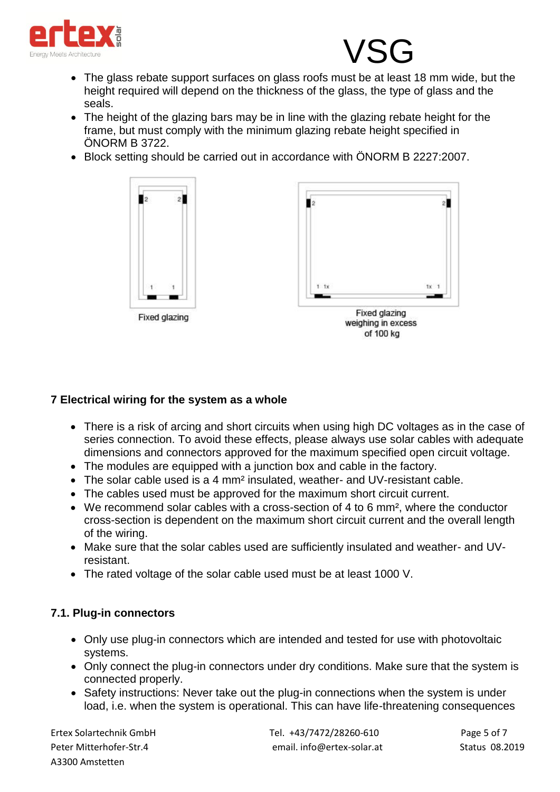

## **VSG**

- The glass rebate support surfaces on glass roofs must be at least 18 mm wide, but the height required will depend on the thickness of the glass, the type of glass and the seals.
- The height of the glazing bars may be in line with the glazing rebate height for the frame, but must comply with the minimum glazing rebate height specified in ÖNORM B 3722.
- Block setting should be carried out in accordance with ÖNORM B 2227:2007.



### **7 Electrical wiring for the system as a whole**

- There is a risk of arcing and short circuits when using high DC voltages as in the case of series connection. To avoid these effects, please always use solar cables with adequate dimensions and connectors approved for the maximum specified open circuit voltage.
- The modules are equipped with a junction box and cable in the factory.
- The solar cable used is a 4 mm<sup>2</sup> insulated, weather- and UV-resistant cable.
- The cables used must be approved for the maximum short circuit current.
- We recommend solar cables with a cross-section of 4 to 6 mm², where the conductor cross-section is dependent on the maximum short circuit current and the overall length of the wiring.
- Make sure that the solar cables used are sufficiently insulated and weather- and UVresistant.
- The rated voltage of the solar cable used must be at least 1000 V.

### **7.1. Plug-in connectors**

- Only use plug-in connectors which are intended and tested for use with photovoltaic systems.
- Only connect the plug-in connectors under dry conditions. Make sure that the system is connected properly.
- Safety instructions: Never take out the plug-in connections when the system is under load, i.e. when the system is operational. This can have life-threatening consequences

A3300 Amstetten

Ertex Solartechnik GmbH Tel. +43/7472/28260-610 Page 5 of 7 Peter Mitterhofer-Str.4 email. info@ertex-solar.at Status 08.2019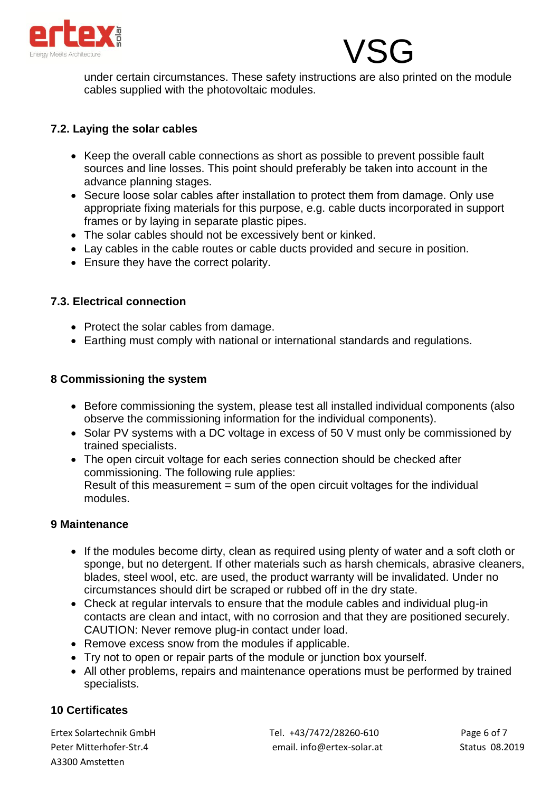



under certain circumstances. These safety instructions are also printed on the module cables supplied with the photovoltaic modules.

### **7.2. Laying the solar cables**

- Keep the overall cable connections as short as possible to prevent possible fault sources and line losses. This point should preferably be taken into account in the advance planning stages.
- Secure loose solar cables after installation to protect them from damage. Only use appropriate fixing materials for this purpose, e.g. cable ducts incorporated in support frames or by laying in separate plastic pipes.
- The solar cables should not be excessively bent or kinked.
- Lay cables in the cable routes or cable ducts provided and secure in position.
- Ensure they have the correct polarity.

### **7.3. Electrical connection**

- Protect the solar cables from damage.
- Earthing must comply with national or international standards and regulations.

### **8 Commissioning the system**

- Before commissioning the system, please test all installed individual components (also observe the commissioning information for the individual components).
- Solar PV systems with a DC voltage in excess of 50 V must only be commissioned by trained specialists.
- The open circuit voltage for each series connection should be checked after commissioning. The following rule applies: Result of this measurement = sum of the open circuit voltages for the individual modules.

### **9 Maintenance**

- If the modules become dirty, clean as required using plenty of water and a soft cloth or sponge, but no detergent. If other materials such as harsh chemicals, abrasive cleaners, blades, steel wool, etc. are used, the product warranty will be invalidated. Under no circumstances should dirt be scraped or rubbed off in the dry state.
- Check at regular intervals to ensure that the module cables and individual plug-in contacts are clean and intact, with no corrosion and that they are positioned securely. CAUTION: Never remove plug-in contact under load.
- Remove excess snow from the modules if applicable.
- Try not to open or repair parts of the module or junction box yourself.
- All other problems, repairs and maintenance operations must be performed by trained specialists.

### **10 Certificates**

A3300 Amstetten